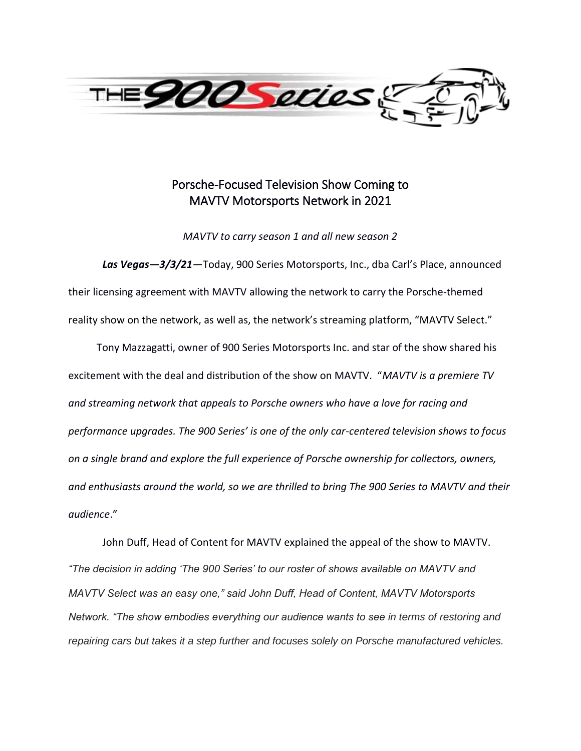

# Porsche-Focused Television Show Coming to MAVTV Motorsports Network in 2021

*MAVTV to carry season 1 and all new season 2*

*Las Vegas—3/3/21—*Today, 900 Series Motorsports, Inc., dba Carl's Place, announced their licensing agreement with MAVTV allowing the network to carry the Porsche-themed reality show on the network, as well as, the network's streaming platform, "MAVTV Select."

 Tony Mazzagatti, owner of 900 Series Motorsports Inc. and star of the show shared his excitement with the deal and distribution of the show on MAVTV. "*MAVTV is a premiere TV and streaming network that appeals to Porsche owners who have a love for racing and performance upgrades. The 900 Series' is one of the only car-centered television shows to focus on a single brand and explore the full experience of Porsche ownership for collectors, owners, and enthusiasts around the world, so we are thrilled to bring The 900 Series to MAVTV and their audience*."

John Duff, Head of Content for MAVTV explained the appeal of the show to MAVTV. *"The decision in adding 'The 900 Series' to our roster of shows available on MAVTV and MAVTV Select was an easy one," said John Duff, Head of Content, MAVTV Motorsports Network. "The show embodies everything our audience wants to see in terms of restoring and repairing cars but takes it a step further and focuses solely on Porsche manufactured vehicles.*